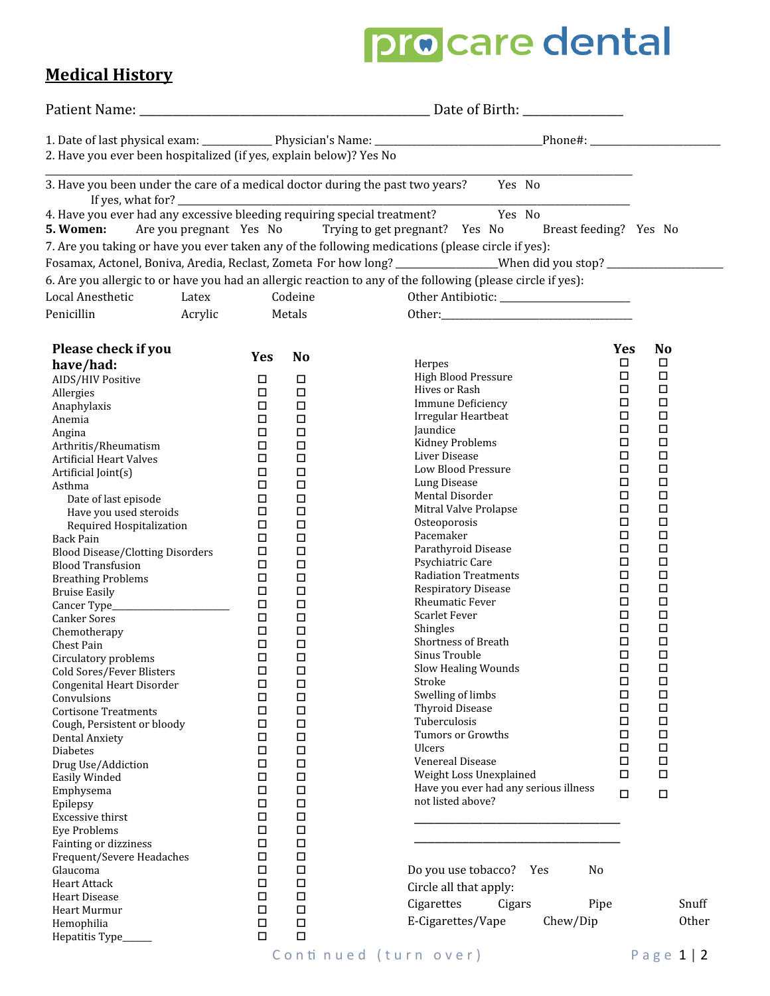# pro care dental

### **Medical History**

| 2. Have you ever been hospitalized (if yes, explain below)? Yes No<br>3. Have you been under the care of a medical doctor during the past two years? Yes No<br>4. Have you ever had any excessive bleeding requiring special treatment? Yes No<br>5. Women:<br>Are you pregnant Yes No<br>Trying to get pregnant? Yes No<br>Breast feeding? Yes No<br>7. Are you taking or have you ever taken any of the following medications (please circle if yes):<br>Fosamax, Actonel, Boniva, Aredia, Reclast, Zometa For how long? ________________When did you stop? ___________<br>6. Are you allergic to or have you had an allergic reaction to any of the following (please circle if yes):<br>Codeine<br>Latex<br>Acrylic<br>Metals<br>Please check if you<br><b>No</b><br><b>Yes</b><br><b>Yes</b><br><b>No</b><br>$\Box$<br>□<br>Herpes<br>have/had:<br>$\Box$<br>$\Box$<br><b>High Blood Pressure</b><br>AIDS/HIV Positive<br>□<br>$\Box$<br>$\Box$<br>$\Box$<br>Hives or Rash<br>$\Box$<br>$\Box$<br>Allergies<br>$\Box$<br>$\Box$<br><b>Immune Deficiency</b><br>□<br>$\Box$<br>Anaphylaxis<br>$\Box$<br>$\Box$<br>Irregular Heartbeat<br>$\Box$<br>$\Box$<br>Anemia<br>$\Box$<br>$\Box$<br>Jaundice<br>$\Box$<br>$\Box$<br>Angina<br>$\Box$<br>$\Box$<br><b>Kidney Problems</b><br>$\Box$<br>$\Box$<br>Arthritis/Rheumatism<br>$\Box$<br>$\Box$<br>Liver Disease<br>□<br>□<br><b>Artificial Heart Valves</b><br>$\Box$<br>$\Box$<br>Low Blood Pressure<br>$\Box$<br>Artificial Joint(s)<br>$\Box$<br>$\Box$<br>$\Box$<br>Lung Disease<br>$\Box$<br>Asthma<br>$\Box$<br>$\Box$<br>$\Box$<br>Mental Disorder<br>$\Box$<br>$\Box$<br>Date of last episode<br>$\Box$<br>$\Box$<br>Mitral Valve Prolapse<br>Have you used steroids<br>$\Box$<br>$\Box$<br>$\Box$<br>$\Box$<br>Osteoporosis<br>$\Box$<br>$\Box$<br>Required Hospitalization<br>$\Box$<br>$\Box$<br>Pacemaker<br>$\Box$<br>$\Box$<br><b>Back Pain</b><br>$\Box$<br>□<br>Parathyroid Disease<br>$\Box$<br>$\Box$<br><b>Blood Disease/Clotting Disorders</b><br>$\Box$<br>$\Box$<br>Psychiatric Care<br>$\Box$<br>$\Box$<br><b>Blood Transfusion</b><br>$\Box$<br>$\Box$<br><b>Radiation Treatments</b><br>$\Box$<br>$\Box$<br><b>Breathing Problems</b><br>$\Box$<br>$\Box$<br><b>Respiratory Disease</b><br>$\Box$<br>$\Box$<br><b>Bruise Easily</b><br><b>Rheumatic Fever</b><br>□<br>$\Box$<br>$\Box$<br>$\Box$<br>$\Box$<br>$\Box$<br>Scarlet Fever<br>$\Box$<br>$\Box$<br>Canker Sores<br>$\Box$<br>$\Box$<br>Shingles<br>$\Box$<br>$\Box$<br>Chemotherapy<br>$\Box$<br>$\Box$<br>Shortness of Breath<br>$\Box$<br>$\Box$<br>Chest Pain<br>□<br>$\Box$<br>Sinus Trouble<br>$\Box$<br>$\Box$<br>Circulatory problems<br>Slow Healing Wounds<br>□<br>□<br>$\Box$<br>$\Box$<br>Cold Sores/Fever Blisters<br>$\Box$<br>$\Box$<br>Stroke<br>$\Box$<br>$\Box$<br>Congenital Heart Disorder<br>$\Box$<br>Swelling of limbs<br>$\Box$<br>$\Box$<br>$\Box$<br>Convulsions<br>□<br>$\Box$<br>Thyroid Disease<br>$\Box$<br>$\Box$<br><b>Cortisone Treatments</b><br>$\Box$<br>$\Box$<br>Tuberculosis<br>$\Box$<br>$\Box$<br>Cough, Persistent or bloody<br>$\Box$<br>$\Box$<br>Tumors or Growths<br>$\Box$<br>$\Box$<br>Dental Anxiety<br>$\Box$<br>$\Box$<br><b>Ulcers</b><br>$\Box$<br>$\Box$<br><b>Diabetes</b><br>$\Box$<br>$\Box$<br>Venereal Disease<br>$\Box$<br>$\Box$<br>Drug Use/Addiction<br>$\Box$<br>$\Box$<br>Weight Loss Unexplained<br>$\Box$<br>$\Box$<br>Easily Winded<br>Have you ever had any serious illness<br>$\Box$<br>$\Box$<br>Emphysema<br>$\Box$<br>$\Box$<br>not listed above?<br>$\Box$<br>$\Box$<br>Epilepsy<br>$\Box$<br>$\Box$<br><b>Excessive thirst</b><br>$\Box$<br>$\Box$<br><b>Eye Problems</b><br>$\Box$<br>$\Box$<br>Fainting or dizziness<br>$\Box$<br>$\Box$<br>Frequent/Severe Headaches<br>$\Box$<br>$\Box$<br>Do you use tobacco?<br>No<br>Glaucoma<br>Yes<br>$\Box$<br>$\Box$<br><b>Heart Attack</b><br>Circle all that apply:<br>$\Box$<br>$\Box$<br><b>Heart Disease</b><br>Cigarettes<br>Snuff<br>Cigars<br>Pipe<br>$\Box$<br>$\Box$<br>Heart Murmur<br>E-Cigarettes/Vape<br>Other<br>Chew/Dip<br>$\Box$<br>$\Box$<br>Hemophilia<br>$\Box$<br>$\Box$<br>Hepatitis Type_ |                  |  |  |  |
|--------------------------------------------------------------------------------------------------------------------------------------------------------------------------------------------------------------------------------------------------------------------------------------------------------------------------------------------------------------------------------------------------------------------------------------------------------------------------------------------------------------------------------------------------------------------------------------------------------------------------------------------------------------------------------------------------------------------------------------------------------------------------------------------------------------------------------------------------------------------------------------------------------------------------------------------------------------------------------------------------------------------------------------------------------------------------------------------------------------------------------------------------------------------------------------------------------------------------------------------------------------------------------------------------------------------------------------------------------------------------------------------------------------------------------------------------------------------------------------------------------------------------------------------------------------------------------------------------------------------------------------------------------------------------------------------------------------------------------------------------------------------------------------------------------------------------------------------------------------------------------------------------------------------------------------------------------------------------------------------------------------------------------------------------------------------------------------------------------------------------------------------------------------------------------------------------------------------------------------------------------------------------------------------------------------------------------------------------------------------------------------------------------------------------------------------------------------------------------------------------------------------------------------------------------------------------------------------------------------------------------------------------------------------------------------------------------------------------------------------------------------------------------------------------------------------------------------------------------------------------------------------------------------------------------------------------------------------------------------------------------------------------------------------------------------------------------------------------------------------------------------------------------------------------------------------------------------------------------------------------------------------------------------------------------------------------------------------------------------------------------------------------------------------------------------------------------------------------------------------------------------------------------------------------------------------------------------------------------------------------------------------------------------------------------------------------------------------------------------------------------------------------------------------------------------------------------------------------------------------------------------------------------------------------------------------------------------------------------------------------------------------------------------------------------------------------------------------------------------------------------------------------------------------------------|------------------|--|--|--|
|                                                                                                                                                                                                                                                                                                                                                                                                                                                                                                                                                                                                                                                                                                                                                                                                                                                                                                                                                                                                                                                                                                                                                                                                                                                                                                                                                                                                                                                                                                                                                                                                                                                                                                                                                                                                                                                                                                                                                                                                                                                                                                                                                                                                                                                                                                                                                                                                                                                                                                                                                                                                                                                                                                                                                                                                                                                                                                                                                                                                                                                                                                                                                                                                                                                                                                                                                                                                                                                                                                                                                                                                                                                                                                                                                                                                                                                                                                                                                                                                                                                                                                                                                                                |                  |  |  |  |
|                                                                                                                                                                                                                                                                                                                                                                                                                                                                                                                                                                                                                                                                                                                                                                                                                                                                                                                                                                                                                                                                                                                                                                                                                                                                                                                                                                                                                                                                                                                                                                                                                                                                                                                                                                                                                                                                                                                                                                                                                                                                                                                                                                                                                                                                                                                                                                                                                                                                                                                                                                                                                                                                                                                                                                                                                                                                                                                                                                                                                                                                                                                                                                                                                                                                                                                                                                                                                                                                                                                                                                                                                                                                                                                                                                                                                                                                                                                                                                                                                                                                                                                                                                                |                  |  |  |  |
|                                                                                                                                                                                                                                                                                                                                                                                                                                                                                                                                                                                                                                                                                                                                                                                                                                                                                                                                                                                                                                                                                                                                                                                                                                                                                                                                                                                                                                                                                                                                                                                                                                                                                                                                                                                                                                                                                                                                                                                                                                                                                                                                                                                                                                                                                                                                                                                                                                                                                                                                                                                                                                                                                                                                                                                                                                                                                                                                                                                                                                                                                                                                                                                                                                                                                                                                                                                                                                                                                                                                                                                                                                                                                                                                                                                                                                                                                                                                                                                                                                                                                                                                                                                |                  |  |  |  |
|                                                                                                                                                                                                                                                                                                                                                                                                                                                                                                                                                                                                                                                                                                                                                                                                                                                                                                                                                                                                                                                                                                                                                                                                                                                                                                                                                                                                                                                                                                                                                                                                                                                                                                                                                                                                                                                                                                                                                                                                                                                                                                                                                                                                                                                                                                                                                                                                                                                                                                                                                                                                                                                                                                                                                                                                                                                                                                                                                                                                                                                                                                                                                                                                                                                                                                                                                                                                                                                                                                                                                                                                                                                                                                                                                                                                                                                                                                                                                                                                                                                                                                                                                                                |                  |  |  |  |
|                                                                                                                                                                                                                                                                                                                                                                                                                                                                                                                                                                                                                                                                                                                                                                                                                                                                                                                                                                                                                                                                                                                                                                                                                                                                                                                                                                                                                                                                                                                                                                                                                                                                                                                                                                                                                                                                                                                                                                                                                                                                                                                                                                                                                                                                                                                                                                                                                                                                                                                                                                                                                                                                                                                                                                                                                                                                                                                                                                                                                                                                                                                                                                                                                                                                                                                                                                                                                                                                                                                                                                                                                                                                                                                                                                                                                                                                                                                                                                                                                                                                                                                                                                                |                  |  |  |  |
|                                                                                                                                                                                                                                                                                                                                                                                                                                                                                                                                                                                                                                                                                                                                                                                                                                                                                                                                                                                                                                                                                                                                                                                                                                                                                                                                                                                                                                                                                                                                                                                                                                                                                                                                                                                                                                                                                                                                                                                                                                                                                                                                                                                                                                                                                                                                                                                                                                                                                                                                                                                                                                                                                                                                                                                                                                                                                                                                                                                                                                                                                                                                                                                                                                                                                                                                                                                                                                                                                                                                                                                                                                                                                                                                                                                                                                                                                                                                                                                                                                                                                                                                                                                |                  |  |  |  |
|                                                                                                                                                                                                                                                                                                                                                                                                                                                                                                                                                                                                                                                                                                                                                                                                                                                                                                                                                                                                                                                                                                                                                                                                                                                                                                                                                                                                                                                                                                                                                                                                                                                                                                                                                                                                                                                                                                                                                                                                                                                                                                                                                                                                                                                                                                                                                                                                                                                                                                                                                                                                                                                                                                                                                                                                                                                                                                                                                                                                                                                                                                                                                                                                                                                                                                                                                                                                                                                                                                                                                                                                                                                                                                                                                                                                                                                                                                                                                                                                                                                                                                                                                                                |                  |  |  |  |
|                                                                                                                                                                                                                                                                                                                                                                                                                                                                                                                                                                                                                                                                                                                                                                                                                                                                                                                                                                                                                                                                                                                                                                                                                                                                                                                                                                                                                                                                                                                                                                                                                                                                                                                                                                                                                                                                                                                                                                                                                                                                                                                                                                                                                                                                                                                                                                                                                                                                                                                                                                                                                                                                                                                                                                                                                                                                                                                                                                                                                                                                                                                                                                                                                                                                                                                                                                                                                                                                                                                                                                                                                                                                                                                                                                                                                                                                                                                                                                                                                                                                                                                                                                                | Local Anesthetic |  |  |  |
|                                                                                                                                                                                                                                                                                                                                                                                                                                                                                                                                                                                                                                                                                                                                                                                                                                                                                                                                                                                                                                                                                                                                                                                                                                                                                                                                                                                                                                                                                                                                                                                                                                                                                                                                                                                                                                                                                                                                                                                                                                                                                                                                                                                                                                                                                                                                                                                                                                                                                                                                                                                                                                                                                                                                                                                                                                                                                                                                                                                                                                                                                                                                                                                                                                                                                                                                                                                                                                                                                                                                                                                                                                                                                                                                                                                                                                                                                                                                                                                                                                                                                                                                                                                | Penicillin       |  |  |  |
|                                                                                                                                                                                                                                                                                                                                                                                                                                                                                                                                                                                                                                                                                                                                                                                                                                                                                                                                                                                                                                                                                                                                                                                                                                                                                                                                                                                                                                                                                                                                                                                                                                                                                                                                                                                                                                                                                                                                                                                                                                                                                                                                                                                                                                                                                                                                                                                                                                                                                                                                                                                                                                                                                                                                                                                                                                                                                                                                                                                                                                                                                                                                                                                                                                                                                                                                                                                                                                                                                                                                                                                                                                                                                                                                                                                                                                                                                                                                                                                                                                                                                                                                                                                |                  |  |  |  |
|                                                                                                                                                                                                                                                                                                                                                                                                                                                                                                                                                                                                                                                                                                                                                                                                                                                                                                                                                                                                                                                                                                                                                                                                                                                                                                                                                                                                                                                                                                                                                                                                                                                                                                                                                                                                                                                                                                                                                                                                                                                                                                                                                                                                                                                                                                                                                                                                                                                                                                                                                                                                                                                                                                                                                                                                                                                                                                                                                                                                                                                                                                                                                                                                                                                                                                                                                                                                                                                                                                                                                                                                                                                                                                                                                                                                                                                                                                                                                                                                                                                                                                                                                                                |                  |  |  |  |
|                                                                                                                                                                                                                                                                                                                                                                                                                                                                                                                                                                                                                                                                                                                                                                                                                                                                                                                                                                                                                                                                                                                                                                                                                                                                                                                                                                                                                                                                                                                                                                                                                                                                                                                                                                                                                                                                                                                                                                                                                                                                                                                                                                                                                                                                                                                                                                                                                                                                                                                                                                                                                                                                                                                                                                                                                                                                                                                                                                                                                                                                                                                                                                                                                                                                                                                                                                                                                                                                                                                                                                                                                                                                                                                                                                                                                                                                                                                                                                                                                                                                                                                                                                                |                  |  |  |  |
|                                                                                                                                                                                                                                                                                                                                                                                                                                                                                                                                                                                                                                                                                                                                                                                                                                                                                                                                                                                                                                                                                                                                                                                                                                                                                                                                                                                                                                                                                                                                                                                                                                                                                                                                                                                                                                                                                                                                                                                                                                                                                                                                                                                                                                                                                                                                                                                                                                                                                                                                                                                                                                                                                                                                                                                                                                                                                                                                                                                                                                                                                                                                                                                                                                                                                                                                                                                                                                                                                                                                                                                                                                                                                                                                                                                                                                                                                                                                                                                                                                                                                                                                                                                |                  |  |  |  |
|                                                                                                                                                                                                                                                                                                                                                                                                                                                                                                                                                                                                                                                                                                                                                                                                                                                                                                                                                                                                                                                                                                                                                                                                                                                                                                                                                                                                                                                                                                                                                                                                                                                                                                                                                                                                                                                                                                                                                                                                                                                                                                                                                                                                                                                                                                                                                                                                                                                                                                                                                                                                                                                                                                                                                                                                                                                                                                                                                                                                                                                                                                                                                                                                                                                                                                                                                                                                                                                                                                                                                                                                                                                                                                                                                                                                                                                                                                                                                                                                                                                                                                                                                                                |                  |  |  |  |
|                                                                                                                                                                                                                                                                                                                                                                                                                                                                                                                                                                                                                                                                                                                                                                                                                                                                                                                                                                                                                                                                                                                                                                                                                                                                                                                                                                                                                                                                                                                                                                                                                                                                                                                                                                                                                                                                                                                                                                                                                                                                                                                                                                                                                                                                                                                                                                                                                                                                                                                                                                                                                                                                                                                                                                                                                                                                                                                                                                                                                                                                                                                                                                                                                                                                                                                                                                                                                                                                                                                                                                                                                                                                                                                                                                                                                                                                                                                                                                                                                                                                                                                                                                                |                  |  |  |  |
|                                                                                                                                                                                                                                                                                                                                                                                                                                                                                                                                                                                                                                                                                                                                                                                                                                                                                                                                                                                                                                                                                                                                                                                                                                                                                                                                                                                                                                                                                                                                                                                                                                                                                                                                                                                                                                                                                                                                                                                                                                                                                                                                                                                                                                                                                                                                                                                                                                                                                                                                                                                                                                                                                                                                                                                                                                                                                                                                                                                                                                                                                                                                                                                                                                                                                                                                                                                                                                                                                                                                                                                                                                                                                                                                                                                                                                                                                                                                                                                                                                                                                                                                                                                |                  |  |  |  |
|                                                                                                                                                                                                                                                                                                                                                                                                                                                                                                                                                                                                                                                                                                                                                                                                                                                                                                                                                                                                                                                                                                                                                                                                                                                                                                                                                                                                                                                                                                                                                                                                                                                                                                                                                                                                                                                                                                                                                                                                                                                                                                                                                                                                                                                                                                                                                                                                                                                                                                                                                                                                                                                                                                                                                                                                                                                                                                                                                                                                                                                                                                                                                                                                                                                                                                                                                                                                                                                                                                                                                                                                                                                                                                                                                                                                                                                                                                                                                                                                                                                                                                                                                                                |                  |  |  |  |
|                                                                                                                                                                                                                                                                                                                                                                                                                                                                                                                                                                                                                                                                                                                                                                                                                                                                                                                                                                                                                                                                                                                                                                                                                                                                                                                                                                                                                                                                                                                                                                                                                                                                                                                                                                                                                                                                                                                                                                                                                                                                                                                                                                                                                                                                                                                                                                                                                                                                                                                                                                                                                                                                                                                                                                                                                                                                                                                                                                                                                                                                                                                                                                                                                                                                                                                                                                                                                                                                                                                                                                                                                                                                                                                                                                                                                                                                                                                                                                                                                                                                                                                                                                                |                  |  |  |  |
|                                                                                                                                                                                                                                                                                                                                                                                                                                                                                                                                                                                                                                                                                                                                                                                                                                                                                                                                                                                                                                                                                                                                                                                                                                                                                                                                                                                                                                                                                                                                                                                                                                                                                                                                                                                                                                                                                                                                                                                                                                                                                                                                                                                                                                                                                                                                                                                                                                                                                                                                                                                                                                                                                                                                                                                                                                                                                                                                                                                                                                                                                                                                                                                                                                                                                                                                                                                                                                                                                                                                                                                                                                                                                                                                                                                                                                                                                                                                                                                                                                                                                                                                                                                |                  |  |  |  |
|                                                                                                                                                                                                                                                                                                                                                                                                                                                                                                                                                                                                                                                                                                                                                                                                                                                                                                                                                                                                                                                                                                                                                                                                                                                                                                                                                                                                                                                                                                                                                                                                                                                                                                                                                                                                                                                                                                                                                                                                                                                                                                                                                                                                                                                                                                                                                                                                                                                                                                                                                                                                                                                                                                                                                                                                                                                                                                                                                                                                                                                                                                                                                                                                                                                                                                                                                                                                                                                                                                                                                                                                                                                                                                                                                                                                                                                                                                                                                                                                                                                                                                                                                                                |                  |  |  |  |
|                                                                                                                                                                                                                                                                                                                                                                                                                                                                                                                                                                                                                                                                                                                                                                                                                                                                                                                                                                                                                                                                                                                                                                                                                                                                                                                                                                                                                                                                                                                                                                                                                                                                                                                                                                                                                                                                                                                                                                                                                                                                                                                                                                                                                                                                                                                                                                                                                                                                                                                                                                                                                                                                                                                                                                                                                                                                                                                                                                                                                                                                                                                                                                                                                                                                                                                                                                                                                                                                                                                                                                                                                                                                                                                                                                                                                                                                                                                                                                                                                                                                                                                                                                                |                  |  |  |  |
|                                                                                                                                                                                                                                                                                                                                                                                                                                                                                                                                                                                                                                                                                                                                                                                                                                                                                                                                                                                                                                                                                                                                                                                                                                                                                                                                                                                                                                                                                                                                                                                                                                                                                                                                                                                                                                                                                                                                                                                                                                                                                                                                                                                                                                                                                                                                                                                                                                                                                                                                                                                                                                                                                                                                                                                                                                                                                                                                                                                                                                                                                                                                                                                                                                                                                                                                                                                                                                                                                                                                                                                                                                                                                                                                                                                                                                                                                                                                                                                                                                                                                                                                                                                |                  |  |  |  |
|                                                                                                                                                                                                                                                                                                                                                                                                                                                                                                                                                                                                                                                                                                                                                                                                                                                                                                                                                                                                                                                                                                                                                                                                                                                                                                                                                                                                                                                                                                                                                                                                                                                                                                                                                                                                                                                                                                                                                                                                                                                                                                                                                                                                                                                                                                                                                                                                                                                                                                                                                                                                                                                                                                                                                                                                                                                                                                                                                                                                                                                                                                                                                                                                                                                                                                                                                                                                                                                                                                                                                                                                                                                                                                                                                                                                                                                                                                                                                                                                                                                                                                                                                                                |                  |  |  |  |
|                                                                                                                                                                                                                                                                                                                                                                                                                                                                                                                                                                                                                                                                                                                                                                                                                                                                                                                                                                                                                                                                                                                                                                                                                                                                                                                                                                                                                                                                                                                                                                                                                                                                                                                                                                                                                                                                                                                                                                                                                                                                                                                                                                                                                                                                                                                                                                                                                                                                                                                                                                                                                                                                                                                                                                                                                                                                                                                                                                                                                                                                                                                                                                                                                                                                                                                                                                                                                                                                                                                                                                                                                                                                                                                                                                                                                                                                                                                                                                                                                                                                                                                                                                                |                  |  |  |  |
|                                                                                                                                                                                                                                                                                                                                                                                                                                                                                                                                                                                                                                                                                                                                                                                                                                                                                                                                                                                                                                                                                                                                                                                                                                                                                                                                                                                                                                                                                                                                                                                                                                                                                                                                                                                                                                                                                                                                                                                                                                                                                                                                                                                                                                                                                                                                                                                                                                                                                                                                                                                                                                                                                                                                                                                                                                                                                                                                                                                                                                                                                                                                                                                                                                                                                                                                                                                                                                                                                                                                                                                                                                                                                                                                                                                                                                                                                                                                                                                                                                                                                                                                                                                |                  |  |  |  |
|                                                                                                                                                                                                                                                                                                                                                                                                                                                                                                                                                                                                                                                                                                                                                                                                                                                                                                                                                                                                                                                                                                                                                                                                                                                                                                                                                                                                                                                                                                                                                                                                                                                                                                                                                                                                                                                                                                                                                                                                                                                                                                                                                                                                                                                                                                                                                                                                                                                                                                                                                                                                                                                                                                                                                                                                                                                                                                                                                                                                                                                                                                                                                                                                                                                                                                                                                                                                                                                                                                                                                                                                                                                                                                                                                                                                                                                                                                                                                                                                                                                                                                                                                                                |                  |  |  |  |
|                                                                                                                                                                                                                                                                                                                                                                                                                                                                                                                                                                                                                                                                                                                                                                                                                                                                                                                                                                                                                                                                                                                                                                                                                                                                                                                                                                                                                                                                                                                                                                                                                                                                                                                                                                                                                                                                                                                                                                                                                                                                                                                                                                                                                                                                                                                                                                                                                                                                                                                                                                                                                                                                                                                                                                                                                                                                                                                                                                                                                                                                                                                                                                                                                                                                                                                                                                                                                                                                                                                                                                                                                                                                                                                                                                                                                                                                                                                                                                                                                                                                                                                                                                                |                  |  |  |  |
|                                                                                                                                                                                                                                                                                                                                                                                                                                                                                                                                                                                                                                                                                                                                                                                                                                                                                                                                                                                                                                                                                                                                                                                                                                                                                                                                                                                                                                                                                                                                                                                                                                                                                                                                                                                                                                                                                                                                                                                                                                                                                                                                                                                                                                                                                                                                                                                                                                                                                                                                                                                                                                                                                                                                                                                                                                                                                                                                                                                                                                                                                                                                                                                                                                                                                                                                                                                                                                                                                                                                                                                                                                                                                                                                                                                                                                                                                                                                                                                                                                                                                                                                                                                |                  |  |  |  |
|                                                                                                                                                                                                                                                                                                                                                                                                                                                                                                                                                                                                                                                                                                                                                                                                                                                                                                                                                                                                                                                                                                                                                                                                                                                                                                                                                                                                                                                                                                                                                                                                                                                                                                                                                                                                                                                                                                                                                                                                                                                                                                                                                                                                                                                                                                                                                                                                                                                                                                                                                                                                                                                                                                                                                                                                                                                                                                                                                                                                                                                                                                                                                                                                                                                                                                                                                                                                                                                                                                                                                                                                                                                                                                                                                                                                                                                                                                                                                                                                                                                                                                                                                                                |                  |  |  |  |
|                                                                                                                                                                                                                                                                                                                                                                                                                                                                                                                                                                                                                                                                                                                                                                                                                                                                                                                                                                                                                                                                                                                                                                                                                                                                                                                                                                                                                                                                                                                                                                                                                                                                                                                                                                                                                                                                                                                                                                                                                                                                                                                                                                                                                                                                                                                                                                                                                                                                                                                                                                                                                                                                                                                                                                                                                                                                                                                                                                                                                                                                                                                                                                                                                                                                                                                                                                                                                                                                                                                                                                                                                                                                                                                                                                                                                                                                                                                                                                                                                                                                                                                                                                                |                  |  |  |  |
|                                                                                                                                                                                                                                                                                                                                                                                                                                                                                                                                                                                                                                                                                                                                                                                                                                                                                                                                                                                                                                                                                                                                                                                                                                                                                                                                                                                                                                                                                                                                                                                                                                                                                                                                                                                                                                                                                                                                                                                                                                                                                                                                                                                                                                                                                                                                                                                                                                                                                                                                                                                                                                                                                                                                                                                                                                                                                                                                                                                                                                                                                                                                                                                                                                                                                                                                                                                                                                                                                                                                                                                                                                                                                                                                                                                                                                                                                                                                                                                                                                                                                                                                                                                |                  |  |  |  |
|                                                                                                                                                                                                                                                                                                                                                                                                                                                                                                                                                                                                                                                                                                                                                                                                                                                                                                                                                                                                                                                                                                                                                                                                                                                                                                                                                                                                                                                                                                                                                                                                                                                                                                                                                                                                                                                                                                                                                                                                                                                                                                                                                                                                                                                                                                                                                                                                                                                                                                                                                                                                                                                                                                                                                                                                                                                                                                                                                                                                                                                                                                                                                                                                                                                                                                                                                                                                                                                                                                                                                                                                                                                                                                                                                                                                                                                                                                                                                                                                                                                                                                                                                                                |                  |  |  |  |
|                                                                                                                                                                                                                                                                                                                                                                                                                                                                                                                                                                                                                                                                                                                                                                                                                                                                                                                                                                                                                                                                                                                                                                                                                                                                                                                                                                                                                                                                                                                                                                                                                                                                                                                                                                                                                                                                                                                                                                                                                                                                                                                                                                                                                                                                                                                                                                                                                                                                                                                                                                                                                                                                                                                                                                                                                                                                                                                                                                                                                                                                                                                                                                                                                                                                                                                                                                                                                                                                                                                                                                                                                                                                                                                                                                                                                                                                                                                                                                                                                                                                                                                                                                                |                  |  |  |  |
|                                                                                                                                                                                                                                                                                                                                                                                                                                                                                                                                                                                                                                                                                                                                                                                                                                                                                                                                                                                                                                                                                                                                                                                                                                                                                                                                                                                                                                                                                                                                                                                                                                                                                                                                                                                                                                                                                                                                                                                                                                                                                                                                                                                                                                                                                                                                                                                                                                                                                                                                                                                                                                                                                                                                                                                                                                                                                                                                                                                                                                                                                                                                                                                                                                                                                                                                                                                                                                                                                                                                                                                                                                                                                                                                                                                                                                                                                                                                                                                                                                                                                                                                                                                |                  |  |  |  |
|                                                                                                                                                                                                                                                                                                                                                                                                                                                                                                                                                                                                                                                                                                                                                                                                                                                                                                                                                                                                                                                                                                                                                                                                                                                                                                                                                                                                                                                                                                                                                                                                                                                                                                                                                                                                                                                                                                                                                                                                                                                                                                                                                                                                                                                                                                                                                                                                                                                                                                                                                                                                                                                                                                                                                                                                                                                                                                                                                                                                                                                                                                                                                                                                                                                                                                                                                                                                                                                                                                                                                                                                                                                                                                                                                                                                                                                                                                                                                                                                                                                                                                                                                                                |                  |  |  |  |
|                                                                                                                                                                                                                                                                                                                                                                                                                                                                                                                                                                                                                                                                                                                                                                                                                                                                                                                                                                                                                                                                                                                                                                                                                                                                                                                                                                                                                                                                                                                                                                                                                                                                                                                                                                                                                                                                                                                                                                                                                                                                                                                                                                                                                                                                                                                                                                                                                                                                                                                                                                                                                                                                                                                                                                                                                                                                                                                                                                                                                                                                                                                                                                                                                                                                                                                                                                                                                                                                                                                                                                                                                                                                                                                                                                                                                                                                                                                                                                                                                                                                                                                                                                                |                  |  |  |  |
|                                                                                                                                                                                                                                                                                                                                                                                                                                                                                                                                                                                                                                                                                                                                                                                                                                                                                                                                                                                                                                                                                                                                                                                                                                                                                                                                                                                                                                                                                                                                                                                                                                                                                                                                                                                                                                                                                                                                                                                                                                                                                                                                                                                                                                                                                                                                                                                                                                                                                                                                                                                                                                                                                                                                                                                                                                                                                                                                                                                                                                                                                                                                                                                                                                                                                                                                                                                                                                                                                                                                                                                                                                                                                                                                                                                                                                                                                                                                                                                                                                                                                                                                                                                |                  |  |  |  |
|                                                                                                                                                                                                                                                                                                                                                                                                                                                                                                                                                                                                                                                                                                                                                                                                                                                                                                                                                                                                                                                                                                                                                                                                                                                                                                                                                                                                                                                                                                                                                                                                                                                                                                                                                                                                                                                                                                                                                                                                                                                                                                                                                                                                                                                                                                                                                                                                                                                                                                                                                                                                                                                                                                                                                                                                                                                                                                                                                                                                                                                                                                                                                                                                                                                                                                                                                                                                                                                                                                                                                                                                                                                                                                                                                                                                                                                                                                                                                                                                                                                                                                                                                                                |                  |  |  |  |
|                                                                                                                                                                                                                                                                                                                                                                                                                                                                                                                                                                                                                                                                                                                                                                                                                                                                                                                                                                                                                                                                                                                                                                                                                                                                                                                                                                                                                                                                                                                                                                                                                                                                                                                                                                                                                                                                                                                                                                                                                                                                                                                                                                                                                                                                                                                                                                                                                                                                                                                                                                                                                                                                                                                                                                                                                                                                                                                                                                                                                                                                                                                                                                                                                                                                                                                                                                                                                                                                                                                                                                                                                                                                                                                                                                                                                                                                                                                                                                                                                                                                                                                                                                                |                  |  |  |  |
|                                                                                                                                                                                                                                                                                                                                                                                                                                                                                                                                                                                                                                                                                                                                                                                                                                                                                                                                                                                                                                                                                                                                                                                                                                                                                                                                                                                                                                                                                                                                                                                                                                                                                                                                                                                                                                                                                                                                                                                                                                                                                                                                                                                                                                                                                                                                                                                                                                                                                                                                                                                                                                                                                                                                                                                                                                                                                                                                                                                                                                                                                                                                                                                                                                                                                                                                                                                                                                                                                                                                                                                                                                                                                                                                                                                                                                                                                                                                                                                                                                                                                                                                                                                |                  |  |  |  |
|                                                                                                                                                                                                                                                                                                                                                                                                                                                                                                                                                                                                                                                                                                                                                                                                                                                                                                                                                                                                                                                                                                                                                                                                                                                                                                                                                                                                                                                                                                                                                                                                                                                                                                                                                                                                                                                                                                                                                                                                                                                                                                                                                                                                                                                                                                                                                                                                                                                                                                                                                                                                                                                                                                                                                                                                                                                                                                                                                                                                                                                                                                                                                                                                                                                                                                                                                                                                                                                                                                                                                                                                                                                                                                                                                                                                                                                                                                                                                                                                                                                                                                                                                                                |                  |  |  |  |
|                                                                                                                                                                                                                                                                                                                                                                                                                                                                                                                                                                                                                                                                                                                                                                                                                                                                                                                                                                                                                                                                                                                                                                                                                                                                                                                                                                                                                                                                                                                                                                                                                                                                                                                                                                                                                                                                                                                                                                                                                                                                                                                                                                                                                                                                                                                                                                                                                                                                                                                                                                                                                                                                                                                                                                                                                                                                                                                                                                                                                                                                                                                                                                                                                                                                                                                                                                                                                                                                                                                                                                                                                                                                                                                                                                                                                                                                                                                                                                                                                                                                                                                                                                                |                  |  |  |  |
|                                                                                                                                                                                                                                                                                                                                                                                                                                                                                                                                                                                                                                                                                                                                                                                                                                                                                                                                                                                                                                                                                                                                                                                                                                                                                                                                                                                                                                                                                                                                                                                                                                                                                                                                                                                                                                                                                                                                                                                                                                                                                                                                                                                                                                                                                                                                                                                                                                                                                                                                                                                                                                                                                                                                                                                                                                                                                                                                                                                                                                                                                                                                                                                                                                                                                                                                                                                                                                                                                                                                                                                                                                                                                                                                                                                                                                                                                                                                                                                                                                                                                                                                                                                |                  |  |  |  |
|                                                                                                                                                                                                                                                                                                                                                                                                                                                                                                                                                                                                                                                                                                                                                                                                                                                                                                                                                                                                                                                                                                                                                                                                                                                                                                                                                                                                                                                                                                                                                                                                                                                                                                                                                                                                                                                                                                                                                                                                                                                                                                                                                                                                                                                                                                                                                                                                                                                                                                                                                                                                                                                                                                                                                                                                                                                                                                                                                                                                                                                                                                                                                                                                                                                                                                                                                                                                                                                                                                                                                                                                                                                                                                                                                                                                                                                                                                                                                                                                                                                                                                                                                                                |                  |  |  |  |
|                                                                                                                                                                                                                                                                                                                                                                                                                                                                                                                                                                                                                                                                                                                                                                                                                                                                                                                                                                                                                                                                                                                                                                                                                                                                                                                                                                                                                                                                                                                                                                                                                                                                                                                                                                                                                                                                                                                                                                                                                                                                                                                                                                                                                                                                                                                                                                                                                                                                                                                                                                                                                                                                                                                                                                                                                                                                                                                                                                                                                                                                                                                                                                                                                                                                                                                                                                                                                                                                                                                                                                                                                                                                                                                                                                                                                                                                                                                                                                                                                                                                                                                                                                                |                  |  |  |  |
|                                                                                                                                                                                                                                                                                                                                                                                                                                                                                                                                                                                                                                                                                                                                                                                                                                                                                                                                                                                                                                                                                                                                                                                                                                                                                                                                                                                                                                                                                                                                                                                                                                                                                                                                                                                                                                                                                                                                                                                                                                                                                                                                                                                                                                                                                                                                                                                                                                                                                                                                                                                                                                                                                                                                                                                                                                                                                                                                                                                                                                                                                                                                                                                                                                                                                                                                                                                                                                                                                                                                                                                                                                                                                                                                                                                                                                                                                                                                                                                                                                                                                                                                                                                |                  |  |  |  |
|                                                                                                                                                                                                                                                                                                                                                                                                                                                                                                                                                                                                                                                                                                                                                                                                                                                                                                                                                                                                                                                                                                                                                                                                                                                                                                                                                                                                                                                                                                                                                                                                                                                                                                                                                                                                                                                                                                                                                                                                                                                                                                                                                                                                                                                                                                                                                                                                                                                                                                                                                                                                                                                                                                                                                                                                                                                                                                                                                                                                                                                                                                                                                                                                                                                                                                                                                                                                                                                                                                                                                                                                                                                                                                                                                                                                                                                                                                                                                                                                                                                                                                                                                                                |                  |  |  |  |
|                                                                                                                                                                                                                                                                                                                                                                                                                                                                                                                                                                                                                                                                                                                                                                                                                                                                                                                                                                                                                                                                                                                                                                                                                                                                                                                                                                                                                                                                                                                                                                                                                                                                                                                                                                                                                                                                                                                                                                                                                                                                                                                                                                                                                                                                                                                                                                                                                                                                                                                                                                                                                                                                                                                                                                                                                                                                                                                                                                                                                                                                                                                                                                                                                                                                                                                                                                                                                                                                                                                                                                                                                                                                                                                                                                                                                                                                                                                                                                                                                                                                                                                                                                                |                  |  |  |  |
|                                                                                                                                                                                                                                                                                                                                                                                                                                                                                                                                                                                                                                                                                                                                                                                                                                                                                                                                                                                                                                                                                                                                                                                                                                                                                                                                                                                                                                                                                                                                                                                                                                                                                                                                                                                                                                                                                                                                                                                                                                                                                                                                                                                                                                                                                                                                                                                                                                                                                                                                                                                                                                                                                                                                                                                                                                                                                                                                                                                                                                                                                                                                                                                                                                                                                                                                                                                                                                                                                                                                                                                                                                                                                                                                                                                                                                                                                                                                                                                                                                                                                                                                                                                |                  |  |  |  |